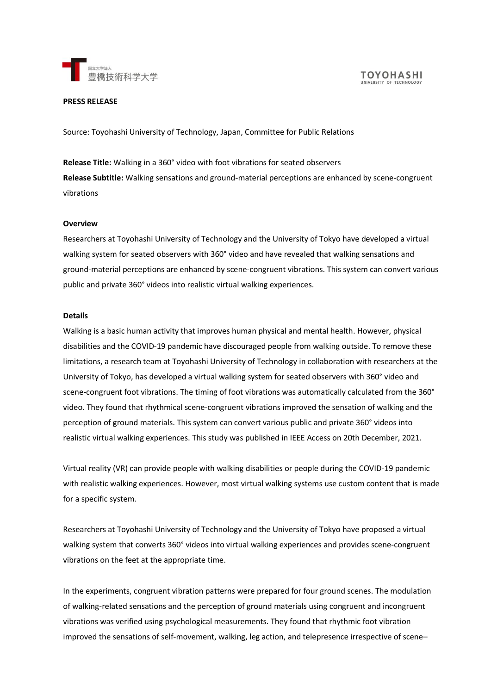

# **PRESS RELEASE**

Source: Toyohashi University of Technology, Japan, Committee for Public Relations

**Release Title:** Walking in a 360° video with foot vibrations for seated observers **Release Subtitle:** Walking sensations and ground-material perceptions are enhanced by scene-congruent vibrations

#### **Overview**

Researchers at Toyohashi University of Technology and the University of Tokyo have developed a virtual walking system for seated observers with 360° video and have revealed that walking sensations and ground-material perceptions are enhanced by scene-congruent vibrations. This system can convert various public and private 360° videos into realistic virtual walking experiences.

#### **Details**

Walking is a basic human activity that improves human physical and mental health. However, physical disabilities and the COVID-19 pandemic have discouraged people from walking outside. To remove these limitations, a research team at Toyohashi University of Technology in collaboration with researchers at the University of Tokyo, has developed a virtual walking system for seated observers with 360° video and scene-congruent foot vibrations. The timing of foot vibrations was automatically calculated from the 360° video. They found that rhythmical scene-congruent vibrations improved the sensation of walking and the perception of ground materials. This system can convert various public and private 360° videos into realistic virtual walking experiences. This study was published in IEEE Access on 20th December, 2021.

Virtual reality (VR) can provide people with walking disabilities or people during the COVID-19 pandemic with realistic walking experiences. However, most virtual walking systems use custom content that is made for a specific system.

Researchers at Toyohashi University of Technology and the University of Tokyo have proposed a virtual walking system that converts 360° videos into virtual walking experiences and provides scene-congruent vibrations on the feet at the appropriate time.

In the experiments, congruent vibration patterns were prepared for four ground scenes. The modulation of walking-related sensations and the perception of ground materials using congruent and incongruent vibrations was verified using psychological measurements. They found that rhythmic foot vibration improved the sensations of self-movement, walking, leg action, and telepresence irrespective of scene–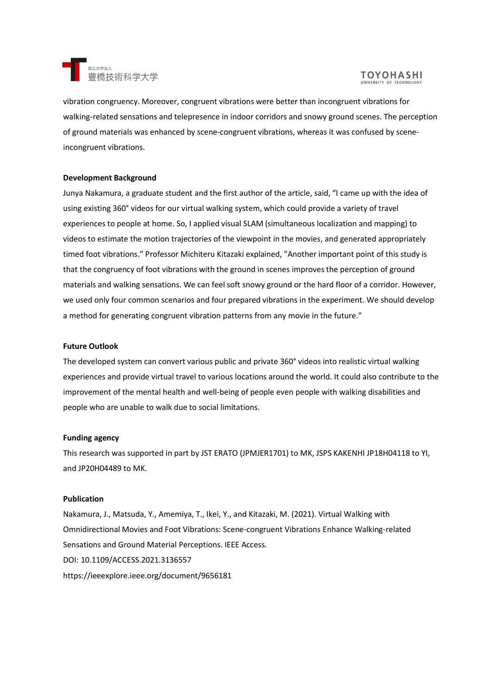

# **TOYOHASHI**

vibration congruency. Moreover, congruent vibrations were better than incongruent vibrations for walking-related sensations and telepresence in indoor corridors and snowy ground scenes. The perception of ground materials was enhanced by scene-congruent vibrations, whereas it was confused by sceneincongruent vibrations.

# **Development Background**

Junya Nakamura, a graduate student and the first author of the article, said, "I came up with the idea of using existing 360° videos for our virtual walking system, which could provide a variety of travel experiences to people at home. So, I applied visual SLAM (simultaneous localization and mapping) to videos to estimate the motion trajectories of the viewpoint in the movies, and generated appropriately timed foot vibrations." Professor Michiteru Kitazaki explained, "Another important point of this study is that the congruency of foot vibrations with the ground in scenes improves the perception of ground materials and walking sensations. We can feel soft snowy ground or the hard floor of a corridor. However, we used only four common scenarios and four prepared vibrations in the experiment. We should develop a method for generating congruent vibration patterns from any movie in the future."

#### **Future Outlook**

The developed system can convert various public and private 360° videos into realistic virtual walking experiences and provide virtual travel to various locations around the world. It could also contribute to the improvement of the mental health and well-being of people even people with walking disabilities and people who are unable to walk due to social limitations.

### **Funding agency**

This research was supported in part by JST ERATO (JPMJER1701) to MK, JSPS KAKENHI JP18H04118 to YI, and JP20H04489 to MK.

#### **Publication**

Nakamura, J., Matsuda, Y., Amemiya, T., Ikei, Y., and Kitazaki, M. (2021). Virtual Walking with Omnidirectional Movies and Foot Vibrations: Scene-congruent Vibrations Enhance Walking-related Sensations and Ground Material Perceptions. IEEE Access. DOI: 10.1109/ACCESS.2021.3136557 https://ieeexplore.ieee.org/document/9656181